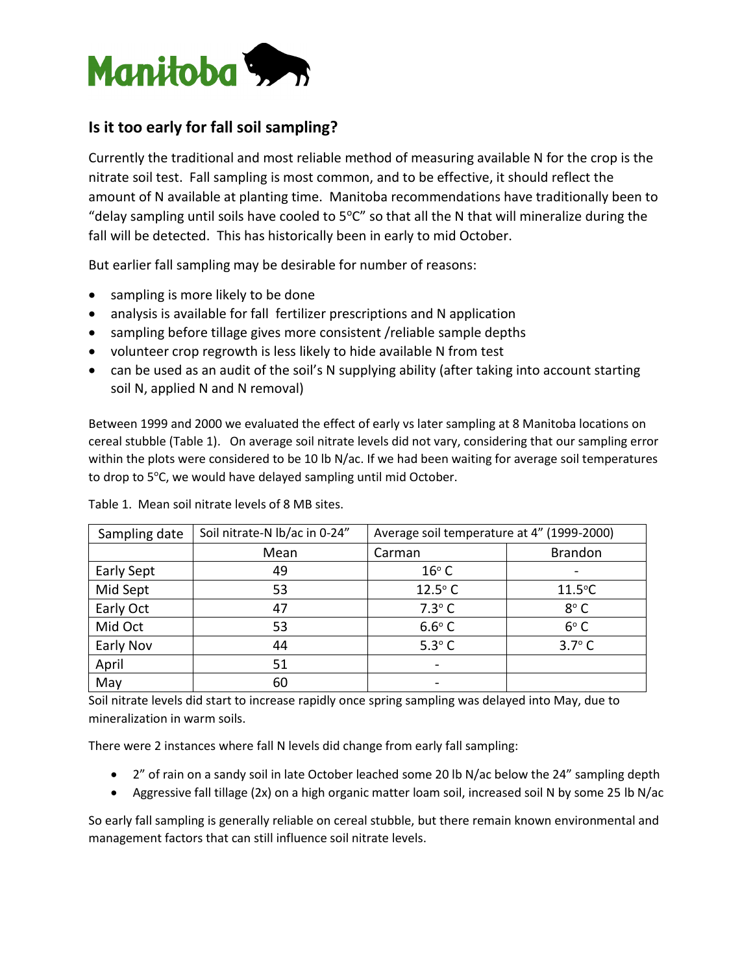

## **Is it too early for fall soil sampling?**

Currently the traditional and most reliable method of measuring available N for the crop is the nitrate soil test. Fall sampling is most common, and to be effective, it should reflect the amount of N available at planting time. Manitoba recommendations have traditionally been to "delay sampling until soils have cooled to  $5^{\circ}$ C" so that all the N that will mineralize during the fall will be detected. This has historically been in early to mid October.

But earlier fall sampling may be desirable for number of reasons:

- sampling is more likely to be done
- analysis is available for fall fertilizer prescriptions and N application
- sampling before tillage gives more consistent /reliable sample depths
- volunteer crop regrowth is less likely to hide available N from test
- can be used as an audit of the soil's N supplying ability (after taking into account starting soil N, applied N and N removal)

Between 1999 and 2000 we evaluated the effect of early vs later sampling at 8 Manitoba locations on cereal stubble (Table 1). On average soil nitrate levels did not vary, considering that our sampling error within the plots were considered to be 10 lb N/ac. If we had been waiting for average soil temperatures to drop to 5°C, we would have delayed sampling until mid October.

| Sampling date | Soil nitrate-N lb/ac in 0-24" | Average soil temperature at 4" (1999-2000) |                |
|---------------|-------------------------------|--------------------------------------------|----------------|
|               | Mean                          | Carman                                     | <b>Brandon</b> |
| Early Sept    | 49                            | $16^{\circ}$ C                             |                |
| Mid Sept      | 53                            | $12.5^{\circ}$ C                           | $11.5$ °C      |
| Early Oct     | 47                            | $7.3^\circ$ C                              | $8^{\circ}$ C  |
| Mid Oct       | 53                            | $6.6^\circ$ C                              | $6^{\circ}$ C  |
| Early Nov     | 44                            | $5.3^\circ$ C                              | $3.7^\circ$ C  |
| April         | 51                            |                                            |                |
| May           | 60                            |                                            |                |

Table 1. Mean soil nitrate levels of 8 MB sites.

Soil nitrate levels did start to increase rapidly once spring sampling was delayed into May, due to mineralization in warm soils.

There were 2 instances where fall N levels did change from early fall sampling:

- 2" of rain on a sandy soil in late October leached some 20 lb N/ac below the 24" sampling depth
- Aggressive fall tillage (2x) on a high organic matter loam soil, increased soil N by some 25 lb N/ac

So early fall sampling is generally reliable on cereal stubble, but there remain known environmental and management factors that can still influence soil nitrate levels.